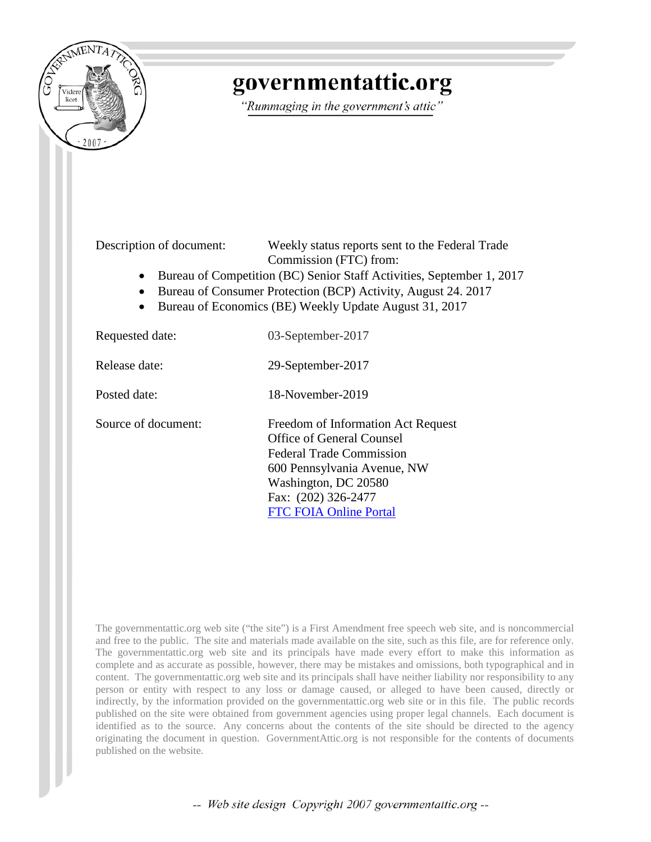

# governmentattic.org

"Rummaging in the government's attic"

Description of document: Weekly status reports sent to the Federal Trade Commission (FTC) from:

- Bureau of Competition (BC) Senior Staff Activities, September 1, 2017
- Bureau of Consumer Protection (BCP) Activity, August 24. 2017
- Bureau of Economics (BE) Weekly Update August 31, 2017

| Requested date:     | 03-September-2017                                                                                                                                                                                                 |
|---------------------|-------------------------------------------------------------------------------------------------------------------------------------------------------------------------------------------------------------------|
| Release date:       | 29-September-2017                                                                                                                                                                                                 |
| Posted date:        | 18-November-2019                                                                                                                                                                                                  |
| Source of document: | Freedom of Information Act Request<br>Office of General Counsel<br><b>Federal Trade Commission</b><br>600 Pennsylvania Avenue, NW<br>Washington, DC 20580<br>Fax: (202) 326-2477<br><b>FTC FOIA Online Portal</b> |

The governmentattic.org web site ("the site") is a First Amendment free speech web site, and is noncommercial and free to the public. The site and materials made available on the site, such as this file, are for reference only. The governmentattic.org web site and its principals have made every effort to make this information as complete and as accurate as possible, however, there may be mistakes and omissions, both typographical and in content. The governmentattic.org web site and its principals shall have neither liability nor responsibility to any person or entity with respect to any loss or damage caused, or alleged to have been caused, directly or indirectly, by the information provided on the governmentattic.org web site or in this file. The public records published on the site were obtained from government agencies using proper legal channels. Each document is identified as to the source. Any concerns about the contents of the site should be directed to the agency originating the document in question. GovernmentAttic.org is not responsible for the contents of documents published on the website.

-- Web site design Copyright 2007 governmentattic.org --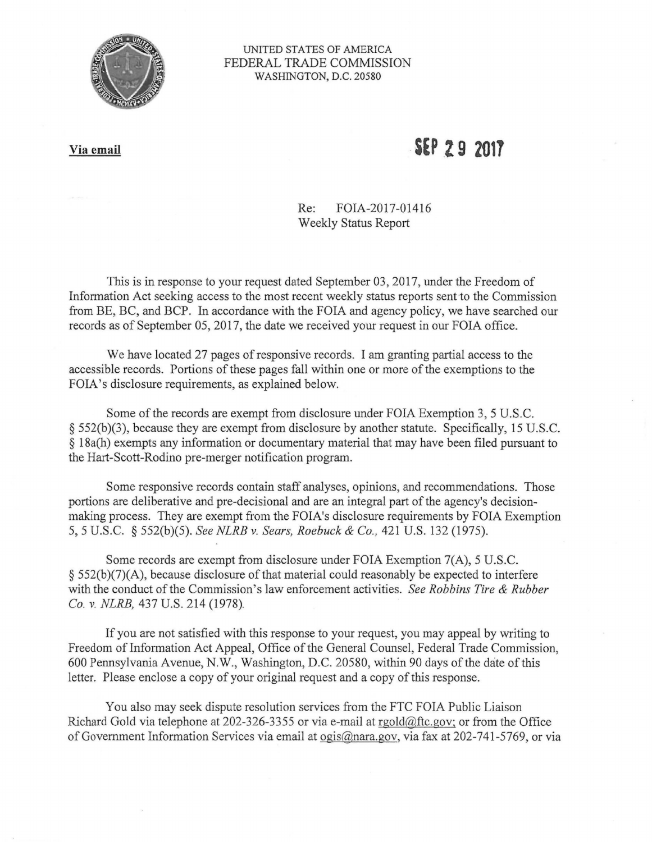

#### UNITED STATES OF AMERICA FEDERAL TRADE COMMISSION WASHINGTON, D.C. 20580

#### **Via email**

## . **SEP .Z 9 <sup>2017</sup>**

Re: FOIA-2017-01416 Weekly Status Report

This is in response to your request dated September 03, 2017, under the Freedom of Information Act seeking access to the most recent weekly status reports sent to the Commission from BE, BC, and BCP. In accordance with the FOIA and agency policy, we have searched our records as of September 05, 2017, the date we received your request in our FOIA office.

We have located 27 pages of responsive records. I am granting partial access to the accessible records. Portions of these pages fall within one or more of the exemptions to the FOIA's disclosure requirements, as explained below.

Some of the records are exempt from disclosure under FOIA Exemption 3, 5 U.S.C. § 552(b)(3), because they are exempt from disclosure by another statute. Specifically, 15 U.S.C. § 18a(h) exempts any information or documentary material that may have been filed pursuant to the Hart-Scott-Rodino pre-merger notification program.

Some responsive records contain staff analyses, opinions, and recommendations. Those portions are deliberative and pre-decisional and are an integral part of the agency's decisionmaking process. They are exempt from the FOIA's disclosure requirements by FOIA Exemption 5, 5 U.S.C. § 552(b)(5). *See NLRB v. Sears, Roebuck & Co.,* 421 U.S. 132 (1975).

Some records are exempt from disclosure under FOIA Exemption 7(A), 5 U.S.C. § 552(b)(7)(A), because disclosure of that material could reasonably be expected to interfere with the conduct of the Commission's law enforcement activities. *See Robbins Tire & Rubber Co.* v. *NLRB,* 437 U.S. 214 (1978).

If you are not satisfied with this response to your request, you may appeal by writing to Freedom of Information Act Appeal, Office of the General Counsel, Federal Trade Commission, 600 Pennsylvania Avenue, N.W., Washington, D.C. 20580, within 90 days of the date of this letter. Please enclose a copy of your original request and a copy of this response.

You also may seek dispute resolution services from the FTC FOIA Public Liaison Richard Gold via telephone at 202-326-3355 or via e-mail at rgold@ftc.gov; or from the Office of Government Information Services via email at ogis@nara.gov, via fax at 202-741-5769, or via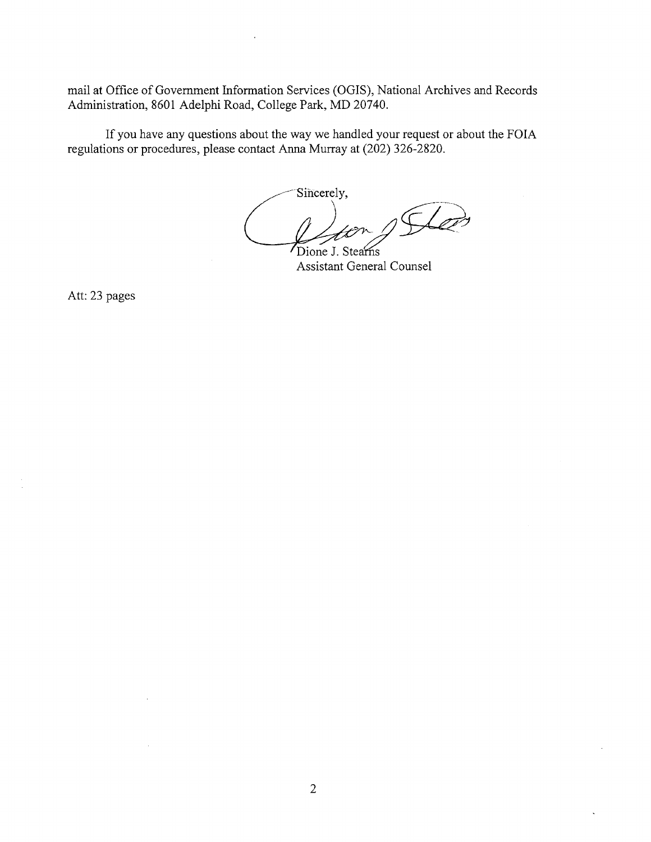mail at Office of Government Information Services (OGIS), National Archives and Records Administration, 8601 Adelphi Road, College Park, MD 20740.

If you have any questions about the way we handled your request or about the FOIA regulations or procedures, please contact Anna Murray at (202) 326-2820.

Sincerely, Dione J. Stearns

Assistant General Counsel

Att: 23 pages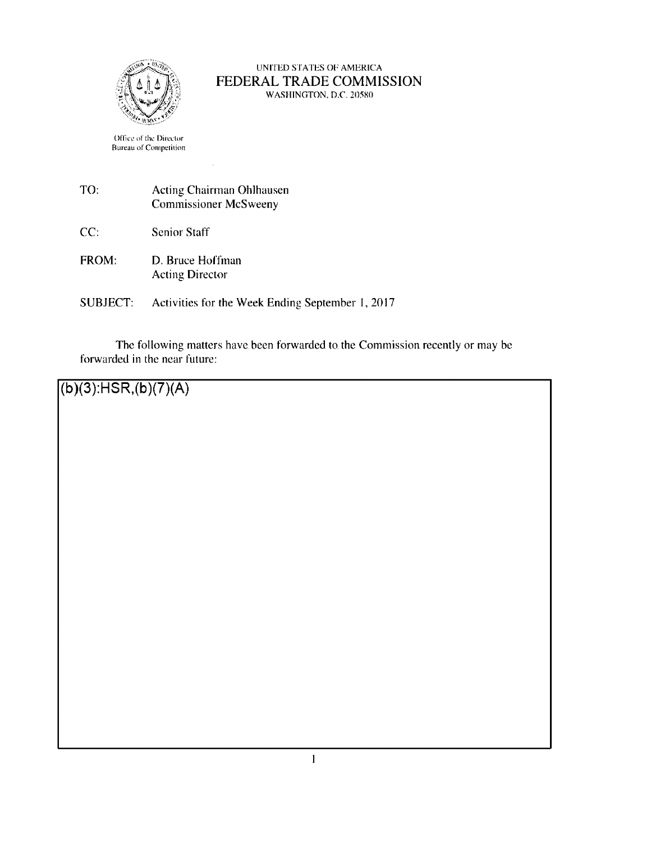

#### UNITED STATES Of AMERICA FEDERAL TRADE COMMISSION WASHINGTON. D.C. 20580

Office of the Director Bureau of Competition

- TO: Acting Chairman Ohlhausen Commissioner Mcsweeny
- CC: Senior Staff
- FROM: **D.** Bruce Hoffman Acting Director
- SUBJECT: Activities for the **Week** Ending September I, 2017

The following matters have been forwarded to the Commission recently or may be forwarded in the near future:

**(b )(3):HSR,(b** )(7)(A)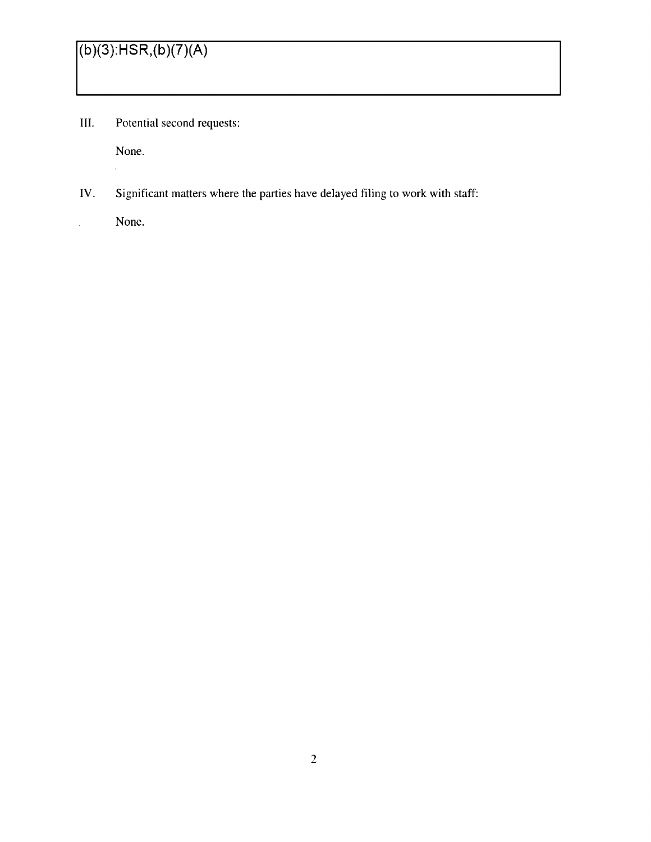III. Potential second requests:

None.

 $\bar{z}$ 

 $\frac{1}{2}$ 

IV. Significant matters where the parties have delayed filing to work with staff:

None.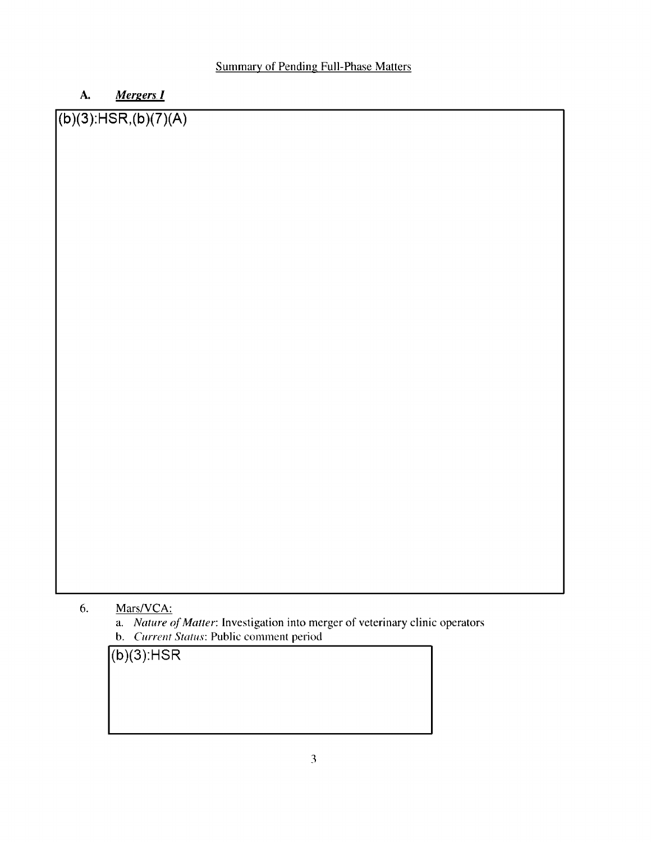## A. *<u>Mergers</u> I*

## **(b )(3):HSR,(b )(7)(A)**

### 6. Mars/VCA:

a. *Nature of Matter:* Investigation into merger of veterinary clinic operators **b.** *Current Status:* **Public** comment period

**(b)(3):HSR**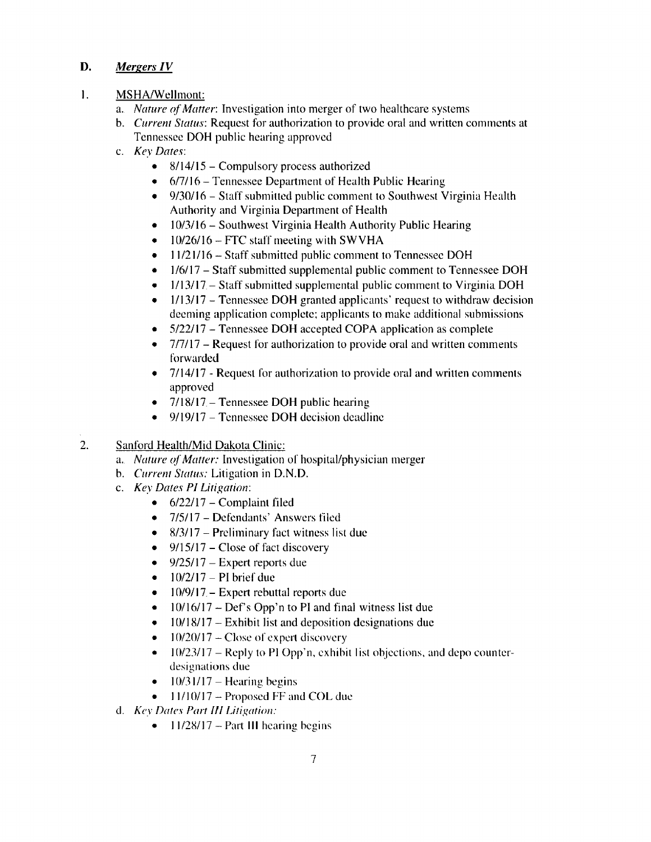#### **D.** *Mergers IV*

#### I. MSHA/Wellmont:

- a. *Nature of Matter:* Investigation into merger of two healthcare systems
- b. *Current Status:* Request for authorization to provide oral and written comments at Tennessee **DOH** public hearing approved
- c. *Key Dates:* 
	- $8/14/15$  Compulsory process authorized
	- $\bullet$  6/7/16 Tennessee Department of Health Public Hearing
	- 9/30/16 Staff submitted public comment to Southwest Virginia Health Authority and Virginia Department of Health
	- $\bullet$  10/3/16 Southwest Virginia Health Authority Public Hearing
	- $\bullet$  10/26/16 FTC staff meeting with SWVHA
	- 11/21/16 Staff submitted public comment to Tennessee DOH
	- 1/6/17 Staff submitted supplemental public comment to Tennessee DOH
	- $\bullet$  1/13/17 Staff submitted supplemental public comment to Virginia DOH
	- $1/13/17$  Tennessee DOH granted applicants' request to withdraw decision deeming application complete; applicants to make additional submissions
	- 5/22/17 Tennessee DOH accepted COPA application as complete
	- 7/7/17 Request for authorization to provide oral and written comments forwarded
	- 7/14/17 Request for authorization to provide oral and written comments approved
	- $7/18/17$  Tennessee DOH public hearing
	- $9/19/17$  Tennessee DOH decision deadline
- 2. Sanford Health/Mid Dakota Clinic:
	- a. *Nature of Matter:* Investigation or hospital/physician merger
	- b. *Current Status:* Litigation in D.N.D.
	- c. *Key Dates* **Pl** *litigation:* 
		- $\bullet$  6/22/17 Complaint filed
		- 7/5/17 Defendants' Answers filed
		- $8/3/17$  Preliminary fact witness list due
		- $\bullet$  9/15/17 Close of fact discovery
		- $9/25/17$  Expert reports due
		- $\bullet$  10/2/17 PI brief due
		- $\bullet$  10/9/17. Expert rebuttal reports due
		- $10/16/17 Def's Opp'n$  to PI and final witness list due
		- $\bullet$  10/18/17 Exhibit list and deposition designations due
		- $10/20/17$  Close of expert discovery
		- $\bullet$  10/23/17 Reply to PI Opp'n, exhibit list objections, and depo counterdesignations due
		- $10/31/17$  Hearing begins
		- $\bullet$  11/10/17 Proposed FF and COL due
	- cl. *Key Dates Part Ill Litigation:* 
		- $11/28/17$  Part III hearing begins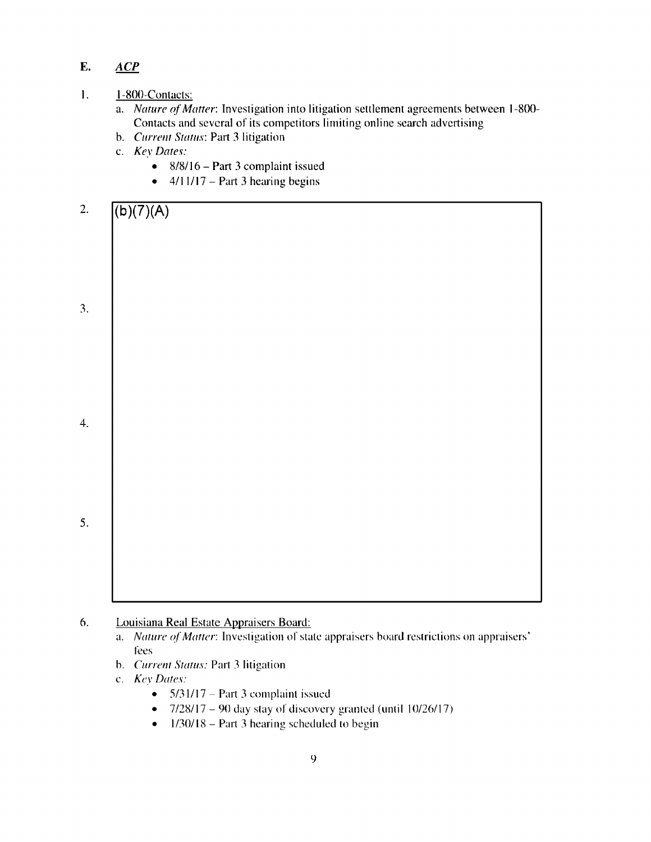### **E. ACP**

#### 1. 1-800-Contacts:

- a. *Nature of Matter*: Investigation into litigation settlement agreements between 1-800-Contacts and several of its competitors limiting onlinc search advertising
- b. *C11rre111 Status:* Part 3 litigation
- c.:. *Kev Dates:* 
	- $8/8/16$  Part 3 complaint issued
	- $\bullet$  4/11/17 Part 3 hearing begins



- 6. Louisiana Real Estate Appraisers Board:
	- a. *Nature of Matter:* Investigation of state appraisers board restrictions on appraisers' fees
	- b. *Current Status:* Part 3 litigation
	- c. *Key Dates:* 
		- $5/31/17$  Part 3 complaint issued
		- $7/28/17 90$  day stay of discovery granted (until  $10/26/17$ )
		- $\bullet$  1/30/18 Part 3 hearing scheduled to begin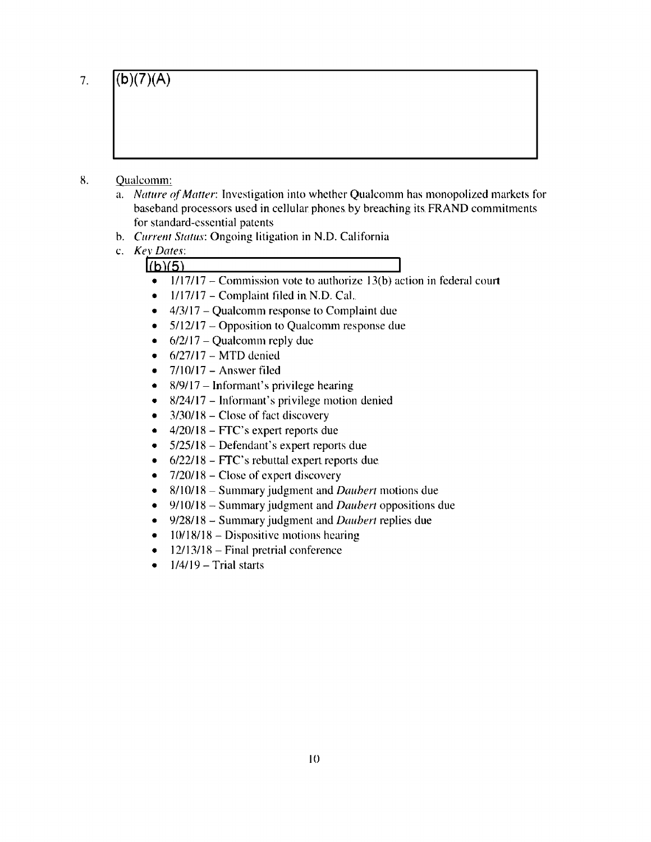7.

## **(b )(7)(A)**

- 8. Qualcomm:
	- a. *Nature* ff *Matter:* Investigation into whether Qualcomm has monopolized markets for baseband processors used in cellular phones by breaching its FRAND commitments for standard-essential patents
	- b. *Current Status: Ongoing litigation in N.D. California*
	- c. *Kev Dates:*   $h(b)(5)$ 
		- $1/17/17$  Commission vote to authorize 13(b) action in federal court
		- $\bullet$  1/17/17 Complaint filed in N.D. Cal.
		- $\bullet$  4/3/17 Qualcomm response to Complaint due
		- $5/12/17$  Opposition to Qualcomm response due
		- $\bullet$  6/2/17 Qualcomm reply due
		- $\bullet$  6/27/17 MTD denied
		- $7/10/17$  Answer filed
		- $8/9/17$  Informant's privilege hearing
		- $8/24/17$  Informant's privilege motion denied
		- $\bullet$  3/30/18 Close of fact discovery
		- $\bullet$  4/20/18 FTC's expert reports due
		- 5/25/18 Defendant's expert reports due
		- $\bullet$  6/22/18 FTC's rebuttal expert reports due.
		- $7/20/18$  Close of expert discovery
		- 8/10/18 Summary judgment and *Daubert* motions due
		- 9/ I 0/ 18 Summary judgment and *Daubert* oppositions due
		- 9/28/ 18 Summary judgment and *Daubert* replies due
		- $\bullet$  10/18/18 Dispositive motions hearing
		- $\bullet$  12/13/18 Final pretrial conference
		- $\bullet$  1/4/19 Trial starts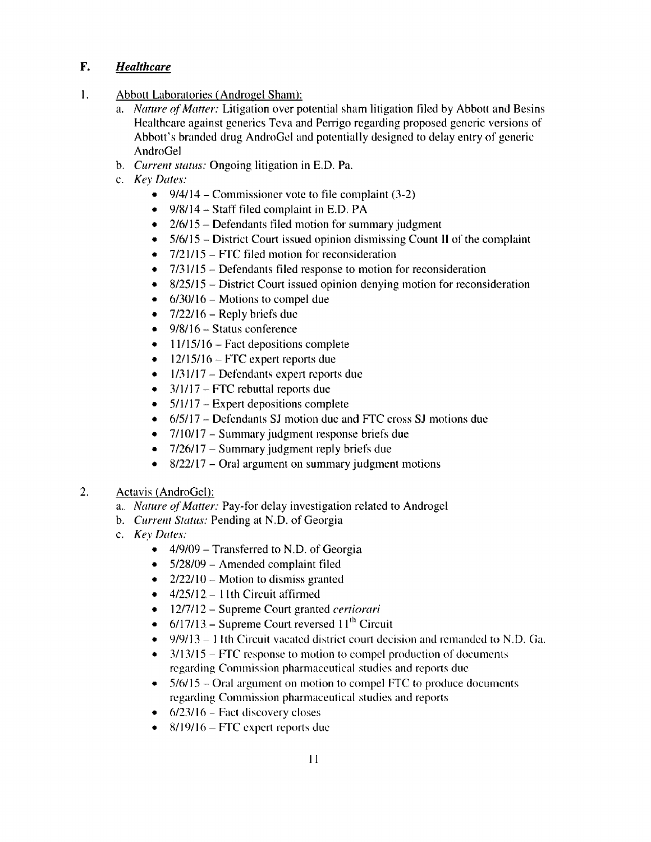#### **F.** *Healthcare*

- I. Abbott Laboratories (Androgel. Sham):
	- a. *Nature (d° Matter:* Litigation over potential sham litigation filed by Abbott and Besins Healthcare against generics Teva and Perrigo regarding proposed generic versions of Abbott's branded drug AndroGel and potentially designed to delay entry of generic AndroGel
	- b. *Current status:* Ongoing litigation in E.D. Pa.
	- c. *Key Dates:* 
		- 9/4/14 Commissioner vote to file complaint  $(3-2)$
		- $\bullet$  9/8/14 Staff filed complaint in E.D. PA
		- $2/6/15$  Defendants filed motion for summary judgment
		- $5/6/15$  District Court issued opinion dismissing Count II of the complaint
		- $\bullet$  7/21/15 FTC filed motion for reconsideration
		- $7/31/15$  Defendants filed response to motion for reconsideration
		- 8/25/15 District Court issued opinion denying motion for reconsideration
		- $\bullet$  6/30/16 Motions to compel due
		- $\bullet$  7/22/16 Reply briefs due
		- $\bullet$  9/8/16 Status conference
		- $\bullet$  11/15/16 Fact depositions complete
		- $\bullet$  12/15/16 FTC expert reports due
		- $\bullet$  1/31/17 Defendants expert reports due
		- $3/1/17$  FTC rebuttal reports due
		- $5/1/17$  Expert depositions complete
		- 6/5/ I 7 Defendants SJ motion due and FTC cross **SJ** motions due
		- 7/10/17 Summary judgment response briefs due
		- 7/26/17 Summary judgment reply briefs due
		- $8/22/17$  Oral argument on summary judgment motions
- 2. Actavis (AndroGel):
	- a. *Nature of Matter:* Pay-for delay investigation related to Androgel
	- b. *Current Status:* Pending at N.D. of Georgia
	- c. *Key Dates:* 
		- $\bullet$  4/9/09 Transferred to N.D. of Georgia
		- 5/28/09 Amended complaint filed
		- $2/22/10$  Motion to dismiss granted
		- $\bullet$  4/25/12 11th Circuit affirmed
		- 12/7/12 Supreme Court granted *certiorari*
		- 6/17/13 Supreme Court reversed  $11<sup>th</sup>$  Circuit
		- $\bullet$  9/9/13 11th Circuit vacated district court decision and remanded to N.D. Ga.
		- $\bullet$  3/13/15 FTC response to motion to compel production of documents regarding Commission pharmaceutical studies and reports due
		- $\bullet$  5/6/15 Oral argument on motion to compel FTC to produce documents regarding Commission pharmaceutical studies and reports
		- $\bullet$  6/23/16 Fact discovery closes
		- $-8/19/16$  FTC expert reports due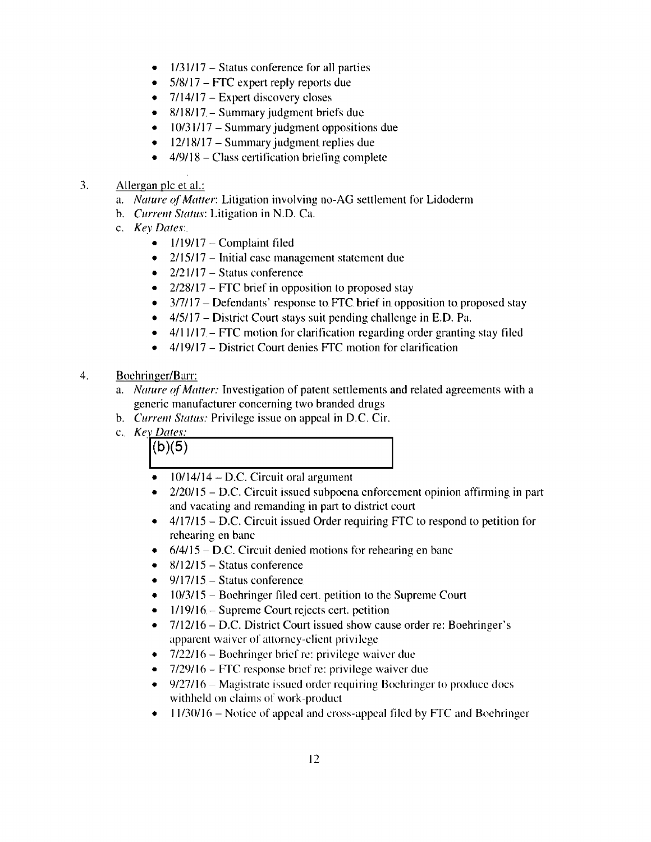- $1/31/17$  Status conference for all parties
- 5/8/ 17 **FTC** expert reply reports due
- $7/14/17$  Expert discovery closes
- 8/18/17 Summary judgment briefs due
- $\bullet$  10/31/17 Summary judgment oppositions due
- $\bullet$  12/18/17 Summary judgment replies due
- $4/9/18$  Class certification briefing complete
- 3. Allergan pie et al.:
	- a. *Nature of Matter: Litigation involving no-AG settlement for Lidoderm*
	- b. *Currem Status:* Litigation in N.D. Ca.
	- c. *Key Dates:* 
		- $\bullet$  1/19/17 Complaint filed
		- 2/15/17 Initial case management statement due
		- $2/21/17$  Status conference
		- $2/28/17$  FTC brief in opposition to proposed stay
		- $\bullet$  3/7/17 Defendants' response to FTC brief in opposition to proposed stay
		- $\bullet$  4/5/17 District Court stays suit pending challenge in E.D. Pa.
		- $\bullet$  4/11/17 FTC motion for clarification regarding order granting stay filed
		- $\bullet$  4/19/17 District Court denies FTC motion for clarification
- 4. Boehringer/Barr:
	- a. *Nature of Matter:* Investigation of patent settlements and related agreements with a generic manufacturer concerning two branded drugs
	- b. *Current Status:* Privilege issue on appeal in D.C. Cir.
	- c. *Kev Dates:*



- $\bullet$  10/14/14 D.C. Circuit oral argument
- $-2/20/15$  D.C. Circuit issued subpoena enforcement opinion affirming in part and vacating and remanding in part to district court
- $\bullet$  4/17/15 D.C. Circuit issued Order requiring FTC to respond to petition for rehearing en bane
- $\bullet$  6/4/15 D.C. Circuit denied motions for rehearing en banc
- $\bullet$  8/12/15 Status conference
- $9/17/15$  Status conference.
- $\bullet$  10/3/15 Boehringer filed cert. petition to the Supreme Court
- $\bullet$  1/19/16 Supreme Court rejects cert. petition
- 7/12/16 D.C. District Court issued show cause order re: Boehringer's apparent waiver of attorney-client privilege
- $-7/22/16$  Boehringer brief re: privilege waiver due
- 7/29/16 FTC response brief re: privilege waiver due
- $\bullet$  9/27/16. Magistrate issued order requiring Boehringer to produce docs withheld on claims of work-product
- $\bullet$  11/30/16 Notice of appeal and cross-appeal filed by FTC and Boehringer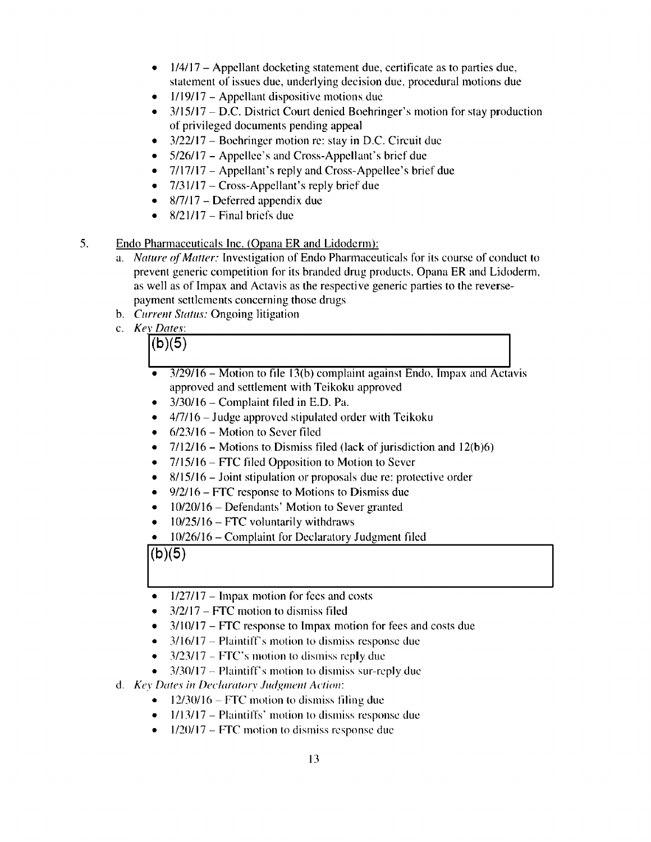- $\bullet$  1/4/17 Appellant docketing statement due, certificate as to parties due, statement of issues due, underlying decision due, procedural motions due
- $\bullet$  1/19/17 Appellant dispositive motions due
- $\bullet$  3/15/17 D.C. District Court denied Boehringer's motion for stay production of privileged documents pending appeal
- $\bullet$  3/22/17 Boehringer motion re: stay in D.C. Circuit due
- 5/26/17 Appellee's and Cross-Appellant's brief due
- 7/17/17 Appellant's reply and Cross-Appellee's brief due
- $7/31/17$  Cross-Appellant's reply brief due
- $8/7/17$  Deferred appendix due
- $8/21/17$  Final briefs due
- 5. Endo Pharmaceuticals Inc. (Opana ER and Lidoderm):
	- a. *Nature of Matter:* Investigation of Endo Pharmaceuticals for its course of conduct to prevent generic competition for its branded drug products, Opana ER and Lidoderm, as well as of Impax and Actavis as the respective generic parties to the reversepayment settlements concerning those drugs
	- b. *Current Status:* Ongoing litigation
	- c. *Kev Dates:*   $\frac{V_{Dates}}{(b)(5)}$ 
		- $\frac{3}{29/16}$  Motion to file 13(b) complaint against Endo, Impax and Actavis approved and settlement with Teikoku approved
		- $\bullet$  3/30/16 Complaint filed in E.D. Pa.
		- $\bullet$  4/7/16 Judge approved stipulated order with Teikoku
		- $\bullet$  6/23/16 Motion to Sever filed
		- $7/12/16$  Motions to Dismiss filed (lack of jurisdiction and  $12(b)6$ )
		- 7/15/16 FTC filed Opposition to Motion to Sever
		- 8/15/16 Joint stipulation or proposals due re: protective order
		- 9/2/16 FTC response to Motions to Dismiss due
		- $\bullet$  10/20/16 Defendants' Motion to Sever granted
		- $10/25/16$  FTC voluntarily withdraws
		- I 0/26/16 Complaint for Declaratory Judgment filed

 $$ 

- $\bullet$  1/27/17 Impax motion for fees and costs
- $3/2/17$  FTC motion to dismiss filed
- $\bullet$  3/10/17 FTC response to Impax motion for fees and costs due
- $3/16/17$  Plaintiff's motion to dismiss response due
- $\bullet$  3/23/17 FTC's motion to dismiss reply due
- $3/30/17$  Plaintiff's motion to dismiss sur-reply due
- d. *Key Dates in Declaratory Judgment Action:* 
	- $12/30/16$  FTC motion to dismiss filing due
	- $\bullet$  1/13/17 Plaintiffs' motion to dismiss response due
	- $\bullet$  1/20/17 FTC motion to dismiss response due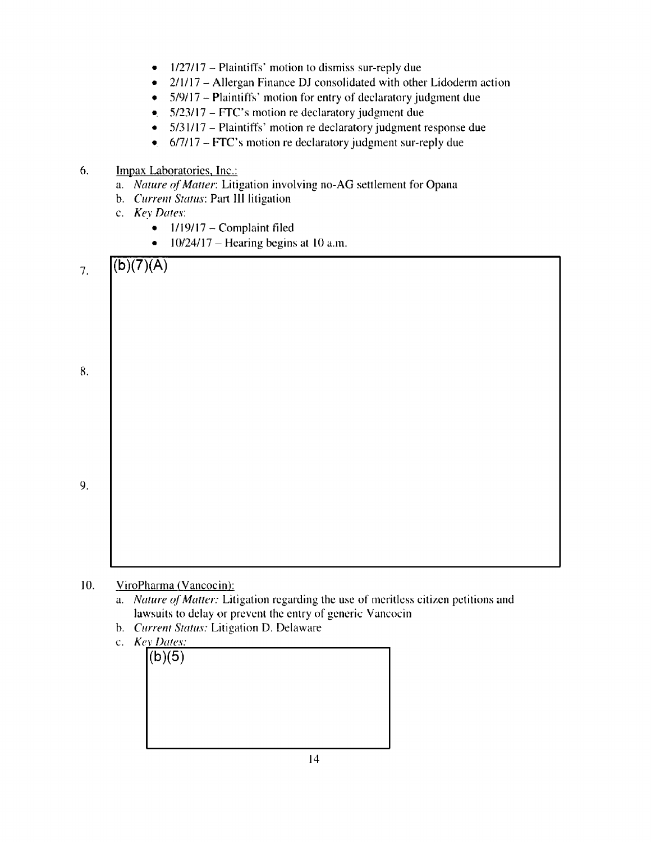- $\bullet$  1/27/17 Plaintiffs' motion to dismiss sur-reply due
- $2/1/17$  Allergan Finance DJ consolidated with other Lidoderm action
- $\bullet$  5/9/17 Plaintiffs' motion for entry of declaratory judgment due
- $\bullet$  5/23/17 FTC's motion re declaratory judgment due
- 5/31/17 Plaintiffs' motion re declaratory judgment response due
- $\bullet$  6/7/17 FTC's motion re declaratory judgment sur-reply due

#### 6. Impax Laboratories, Inc.:

- a. *Nature of Matter: Litigation involving no-AG settlement for Opana*
- b. *Current Status:* Part Ill litigation
- c. *Key Dates:* 
	- $\bullet$  1/19/17 Complaint filed
	- $10/24/17$  Hearing begins at 10 a.m.



- 10. ViroPharma (Vancocin):
	- a. *Nature of Matter:* Litigation regarding the use of meritless citizen petitions and lawsuits to delay or prevent the entry of generic Vancocin
	- b. *Current Status:* Litigation **D.** Delaware
	- c. *Key Dates:*

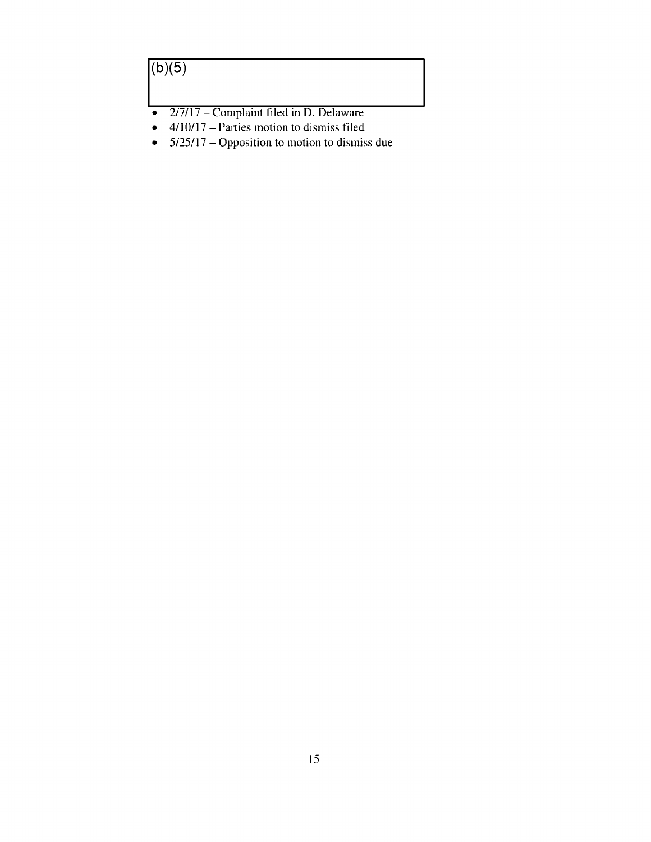## $\sqrt{(b)(5)}$

- $2/7/17$  Complaint filed in D. Delaware<br>•  $4/10/17$  Parties motion to dismiss filed
- 4/10/17 Parties motion to dismiss filed
- 5/25/17 Opposition to motion to dismiss due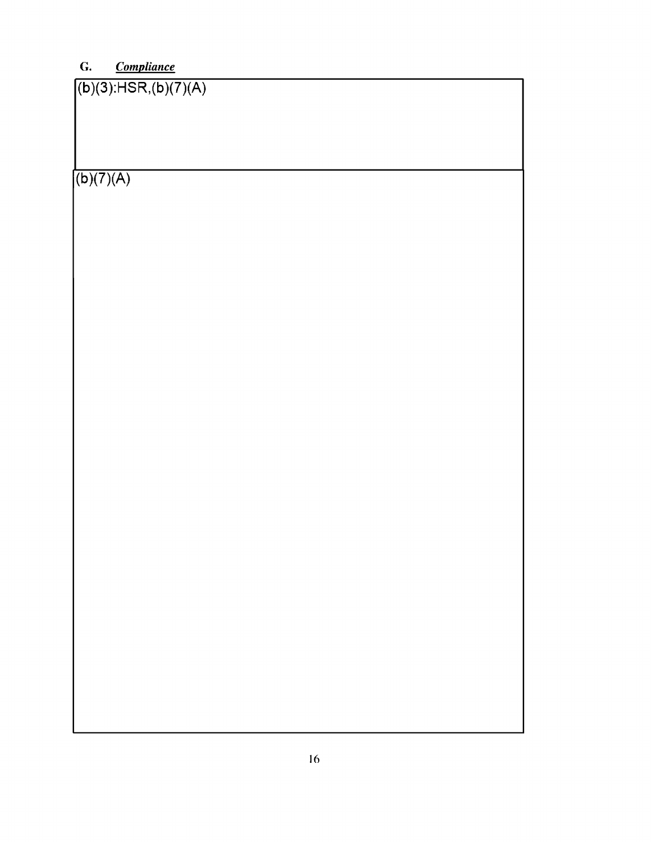## **G.** *Compliance*

(b )(3):HSR,(b **)(?)(A)**   $(b)(7)(A)$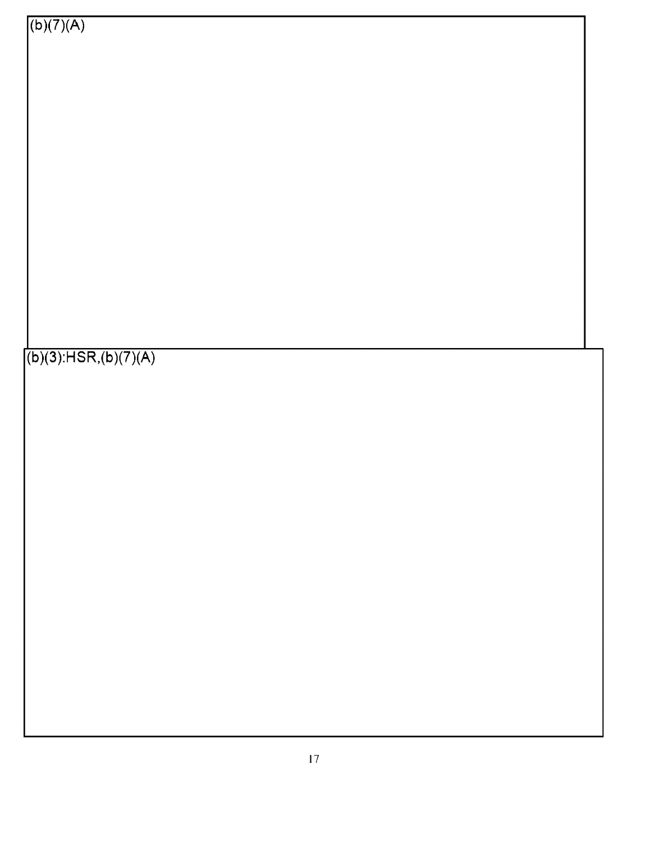(b **)(3):HSR,(b )(?)(A)** 

 $(b)(7)(A)$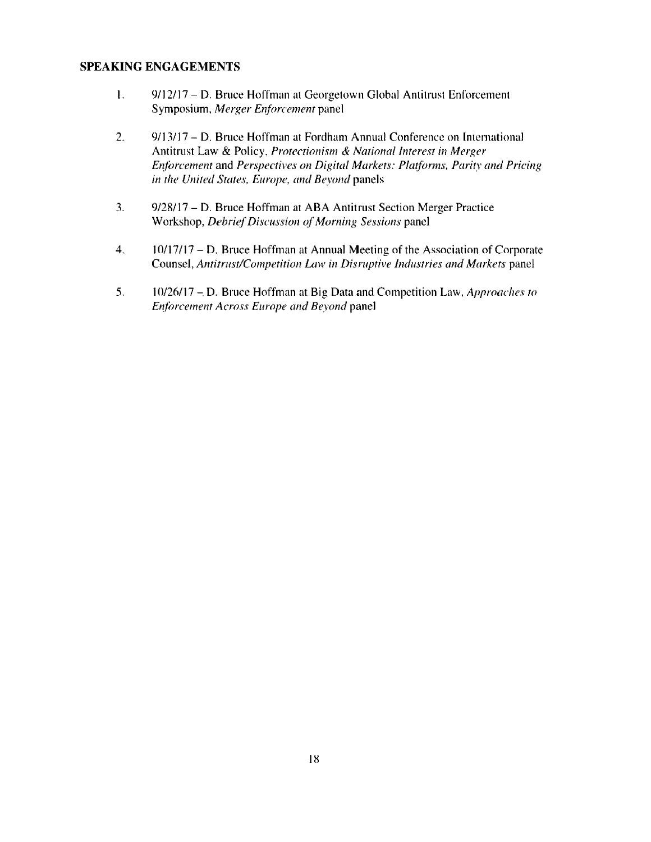#### **SPEAKING ENGAGEMENTS**

- I. 9/12/17 D. Bruce Hoffman at Georgetown Global Antitrust Enforcement Symposium, *Merger Enforcement* panel
- 2. 9/13/17 D. Bruce Hoffman at Fordham Annual Conference on International Antitrust Law & Policy, *Protectionism & National Interest in Merger Enforcement and Perspectives on Digital Markets: Platforms, Parity and Pricing in tile United States, Europe, mu/ Beyond* panels
- 3. 9/28/ 17 D. Bruce Hoffman at ABA Antitrust Section Merger Practice Workshop, *Debrief Discussion cf Morning Sessions* panel
- 4. 10/17/17 D. Bruce Hoffman at Annual Meeting of the Association of Corporate Counsel, *Antitrust/Competition Law in Disruptive Industries and Markets* panel
- 5. 10/26/17 D. Bruce Hoffman at Big Data and Competition Law, *Approaches to Enforcement Across Europe and Beyond* panel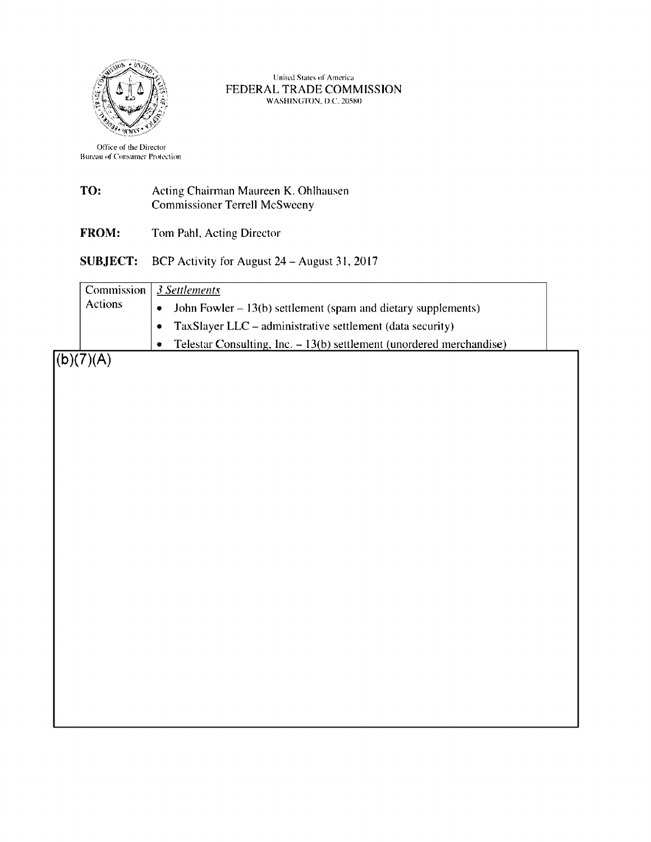

United States of America FEDERAL TRADE COMMISSION WASHINGTON, D.C. 20580

Office of the Director Bureau of Consumer Protection

| TO: | Acting Chairman Maureen K. Ohlhausen |
|-----|--------------------------------------|
|     | <b>Commissioner Terrell McSweeny</b> |

**FROM:** Tom Pahl, Acting Director

**SUBJECT:** BCP Activity for August 24 - August 31. 2017

|                | Commission 3 Settlements                                              |  |
|----------------|-----------------------------------------------------------------------|--|
| <b>Actions</b> | John Fowler $-13(b)$ settlement (spam and dietary supplements)        |  |
|                | TaxSlayer LLC – administrative settlement (data security)             |  |
|                | Telestar Consulting, Inc. $-13(b)$ settlement (unordered merchandise) |  |
| ヽノワヽ/⋏         |                                                                       |  |

 $(b)(7)(A)$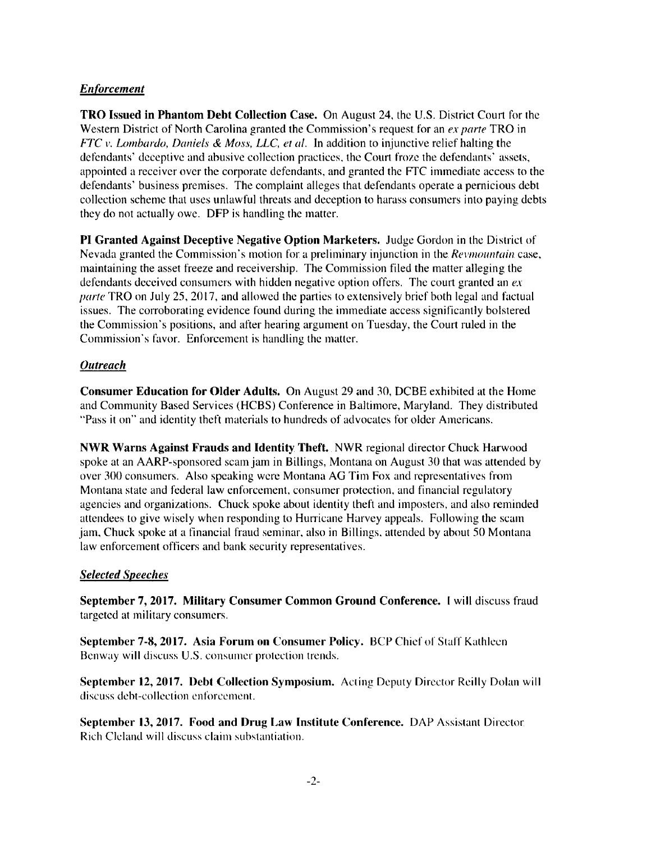#### *Enforcement*

**TRO Issued in Phantom Debt Collection Case.** On August 24, the U.S. District Court for the Western District of North Carolina granted the Commission's request for an *ex parte* TRO in *FTC v. Lombardo, Daniels & Moss, LLC. et al.* In addition to injunctive relief halting the defendants' deceptive and abusive collection practices, the Court froze the defendants' assets, appointed a receiver over the corporate defendants, and granted the FTC immediate access to the defendants' business premises. The complaint alleges that defendants operate a pernicious debt collection scheme that uses unlawful threats and deception to harass consumers into paying debts they do not actually owe. **DFP** is handling the matter.

**PI Granted Against Deceptive Negative Option Marketers.** Judge Gordon in the District of Nevada granted the Commission's motion for a preliminary injunction in the *Revmountain* case, maintaining the asset freeze and receivership. The Commission filed the matter alleging the defendants deceived consumers with hidden negative option offers. The court granted an *ex pa rte* TRO on July 25, 2017, and allowed the parties to extensively brief both legal and factual issues. The corroborating evidence found during the immediate access significantly bolstered the Commission's positions, and after hearing argument on Tuesday, the Court ruled in the Commission's favor. Enforcement is handling the matter.

#### *Outreach*

**Consumer Education for Older Adults.** On August 29 and 30, DCBE exhibited at the Home and Community Based Services (HCBS) Conference in Baltimore, Maryland. They distributed "Pass it on" and identity theft materials to hundreds of advocates for older Americans.

**NWR Warns Against Frauds and Identity Theft.** NWR regional director Chuck Harwood spoke at an AARP-sponsored scam jam in Billings, Montana on August 30 that was attended by over 300 consumers. Also speaking were Montana AG Tim Fox and representatives from Montana state and federal law enforcement, consumer protection. and financial regulatory agencies and organizations. Chuck spoke about identity theft and imposters, and also reminded attendees to give wisely when responding to Hurricane Harvey appeals. Following the scam jam. Chuck spoke at a financial fraud seminar, also in Billings. attended by about 50 Montana law enforcement officers and bank security representatives.

#### *Selected Speeches*

**September 7, 2017. Military Consumer Common Ground Conference.** I will discuss fraud targeted at military consumers.

**September 7-8, 2017. Asia Forum on Consumer Policy. BCP Chief of Staff Kathleen** Benway will discuss U.S. consumer protection trends.

**September 12, 2017. Debt Collection Symposium.** Acting Deputy Director Reilly Dolan will discuss debt-collection enforcement.

**September 13, 2017. Food and Drug Law Institute Conference.** DAP Assistant Director Rich Cleland will discuss claim substantiation.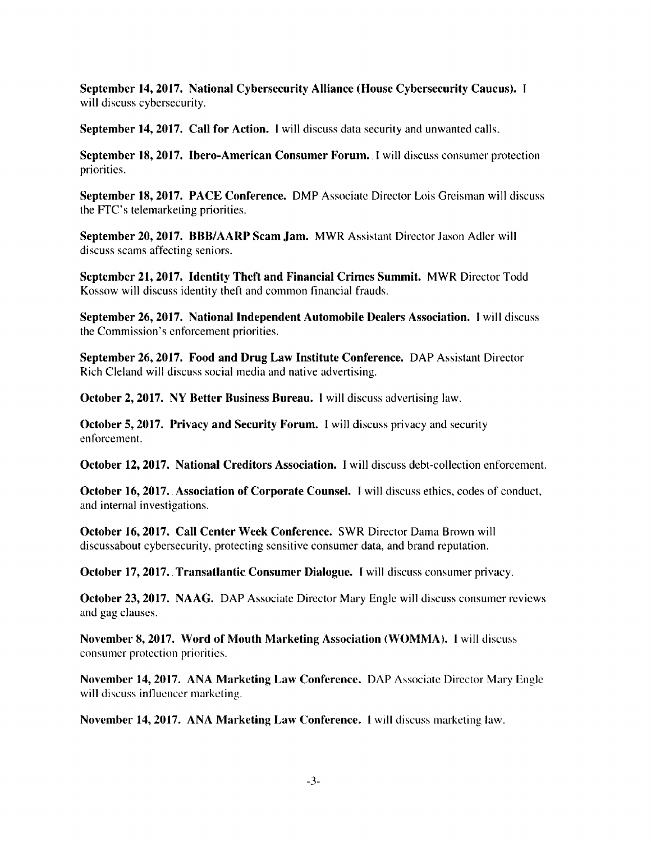**September 14, 2017. National Cybersecurity Alliance (House Cybersecurity Caucus).**  will discuss cybersecurity.

**September 14, 2017. Call for Action.** I will discuss data security and unwanted calls.

**September 18, 2017. Ibero-American Consumer Forum.** I will discuss consumer protection priorities.

**September 18, 2017. PACE Conference.** DMP Associate Director Lois Greisman will discuss the FTC's telemarketing priorities.

**September 20, 2017. BBB/AARP Scam Jam.** MWR Assistant Director Jason Adler will discuss scams affecting seniors.

**September 21, 2017. Identity Theft and Financial Crimes Summit. MWR** Director Todd Kossow will discuss identity theft and common financial frauds.

**September 26, 2017. National Independent Automobile Dealers Association.** I will discuss the Commission's enforcement priorities.

**September 26, 2017. Food and Drug Law Institute Conference.** OAP Assistant Director Rich Cleland will discuss social media and native advertising.

**October 2, 2017. NY Better Business Bureau.** I will discuss advertising law.

**October 5, 2017. Privacy and Security Forum.** 1 will discuss privacy and security enforcement.

**October 12, 2017. National Creditors Association.** I will discuss debt-collection enforcement.

**October 16, 2017. Association of Corporate Counsel.** Twill discuss ethics. codes of conduct, and internal investigations.

**October 16, 2017. Call Center Week Conference. SWR** Director Dama Brown will discussabout cybersecurity, protecting sensitive consumer data, and brand reputation.

**October 17, 2017. Transatlantic Consumer Dialogue.** I will discuss consumer privacy.

**October 23, 2017. NAAG.** DAP Associate Director Mary Engle will discuss consumer reviews and gag clauses.

**November 8, 2017. Word of Mouth Marketing Association (WOMMA). 1** will discuss consumer protection priorities.

**November 14, 2017. ANA Marketing Law Conference.** OAP Associate Director Mary Engle will discuss influencer marketing.

**November 14, 2017. ANA Marketing Law Conference.** 1 will discuss marketing law.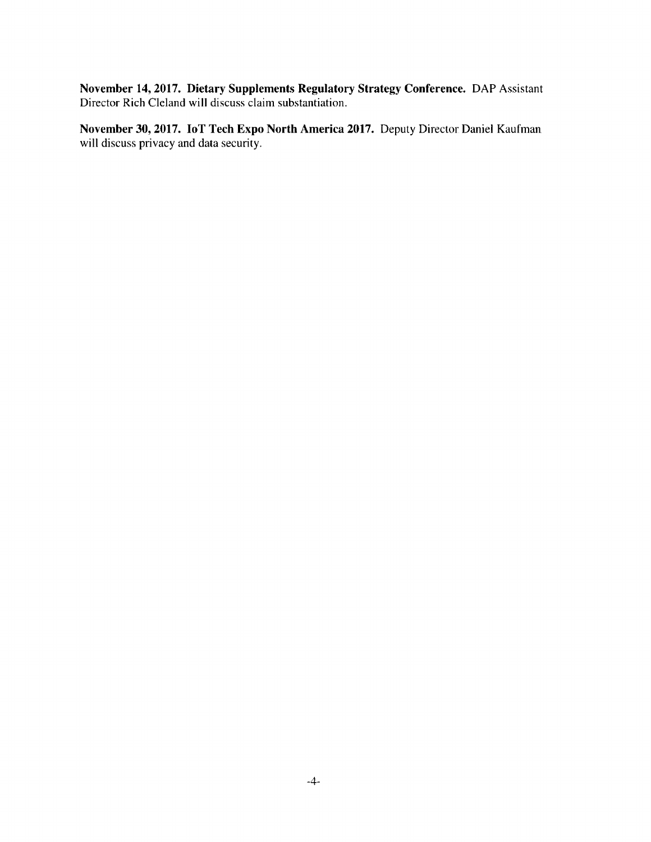**November 14, 2017. Dietary Supplements Regulatory Strategy Conference.** OAP Assistant Director Rich Cleland will discuss claim substantiation.

**November 30, 2017. loT Tech Expo North America 2017.** Deputy Director Daniel Kaufman will discuss privacy and data security.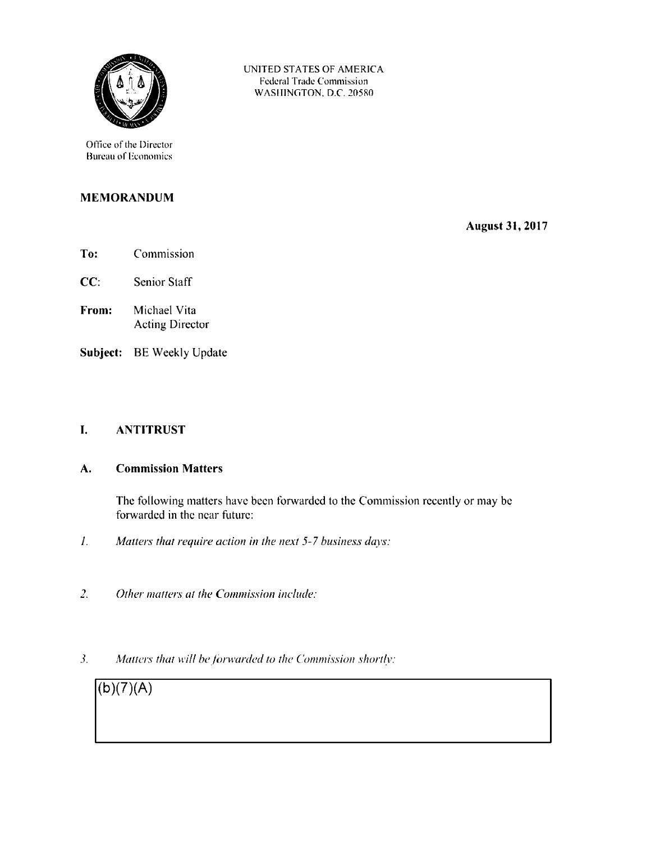

Office of the Director Bureau of Economics

### **MEMORANDUM**

**August 31, 2017** 

- **To:**  Commission
- **CC:**  Senior Staff
- **From:**  Michael Vita Acting Director
- **Subject:** BE Weekly Update

#### **I. ANTITRUST**

#### **A. Commission Matters**

The following matters have been forwarded to the Commission recently or may be forwarded in the near future:

UNITED STATES OF AMERICA Federal Trade Commission WASHINGTON, D.C. 20580

- *1. Matters that require action in the next* 5-7 *business days:*
- *2. Other matters at the Commission include:*
- 3. Matters that will be forwarded to the Commission shortly:

**(b )(7)(A)**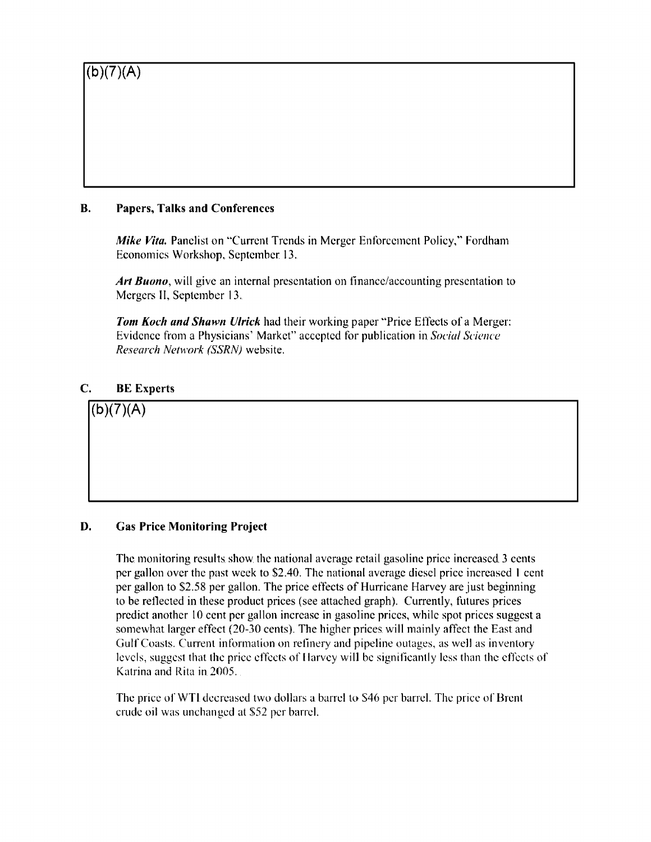#### **B. Papers, Talks and Conferences**

*Mike Vita.* Panelist on "Current Trends in Merger Enforcement Policy," Fordham Economics Workshop, September 13.

*Art Buono,* will give an internal presentation on finance/accounting presentation to Mergers II, September 13.

*Tom Koch and Shawn Ulrick* had their working paper "Price Effects of a Merger: Evidence from a Physicians' Market" accepted for publication in *Social Science Research Network (SSRN)* website.

**C. BE Experts** 

 $(b)(7)(A)$ 

### **D. Gas Price Monitoring Project**

The monitoring results show the national average retail gasoline price increased 3 cents per gallon over the past week to \$2.40. The national average diesel price increased I cent per gallon to \$2.58 per gallon. The price effects of Hurricane Harvey are just beginning to be reflected in these product prices (see attached graph). Currently, futures prices predict another IO cent per gallon increase in gasoline prices, while spot prices suggest a somewhat larger effect (20-30 cents). The higher prices will mainly affect the East and Gulf Coasts. Current information on refinery and pipeline outages, as well as inventory levels, suggest that the price effects of Harvey will be significantly less than the effects of Katrina and Rita in 2005.

The price of WTI decreased two dollars a barrel to \$46 per barrel. The price of Brent crude oil was unchanged at \$52 per barrel.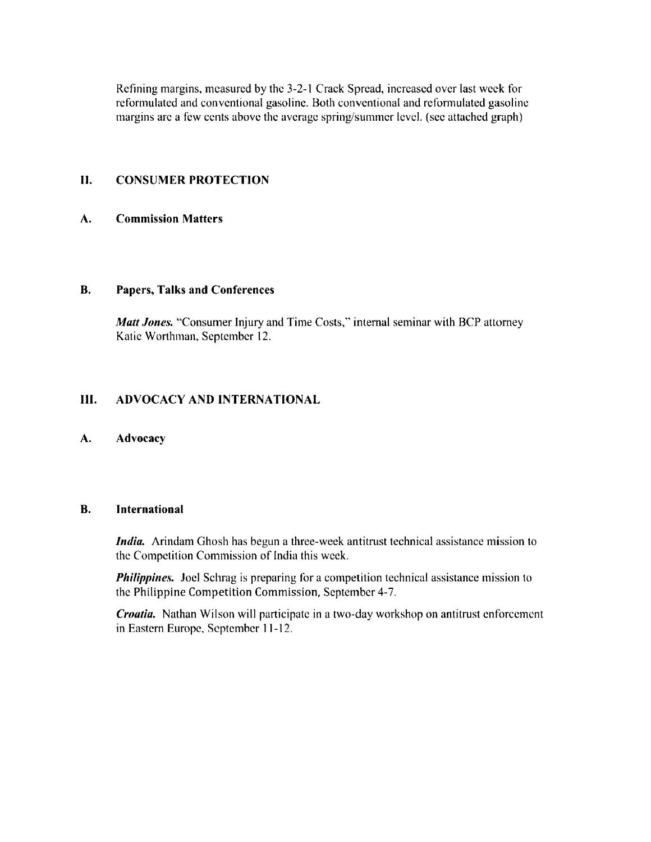Refining margins, measured by the 3-2-1 Crack Spread, increased over last week for reformulated and conventional gasoline. Both conventional and reformulated gasoline margins arc a few cents above the average spring/summer level. (sec attached graph)

#### II. **CONSUMER PROTECTION**

#### **A. Commission Matters**

#### **B. Papers, Talks and Conferences**

*Matt Jones.* "Consumer Injury and Time Costs," internal seminar with BCP attorney Katie Worthman, September 12.

#### **111. ADVOCACY AND INTERNATIONAL**

#### **A. Advocacy**

#### **B. International**

*India.* Arindam Ghosh has begun a three-week antitrust technical assistance mission to the Competition Commission of India this week.

*Philippines.* Joel Schrag is preparing for a competition technical assistance mission to the Philippine Competition Commission, September 4-7.

*Croatia.* Nathan Wilson will participate in a two-day workshop on antitrust enforcement in Eastern Europe, September 11-12.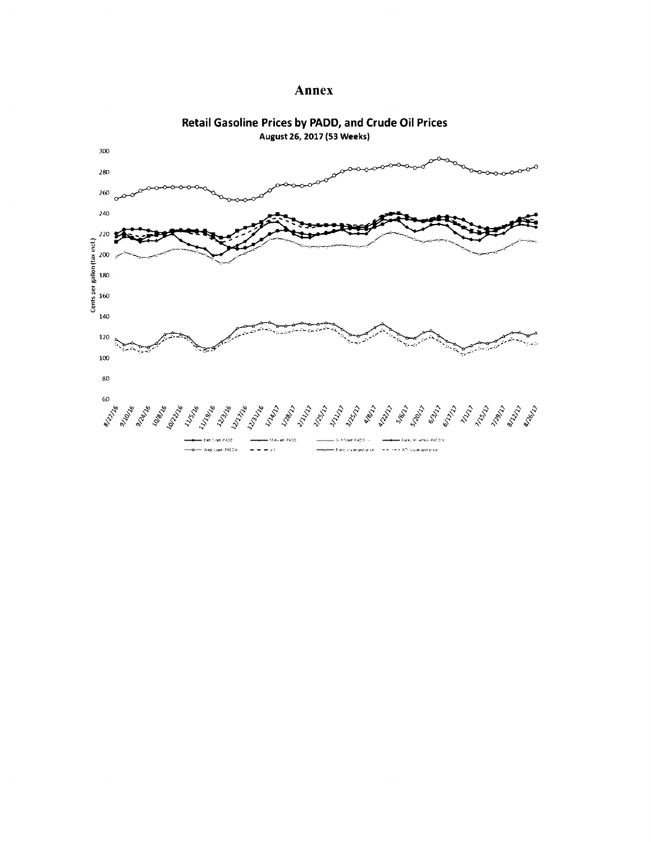